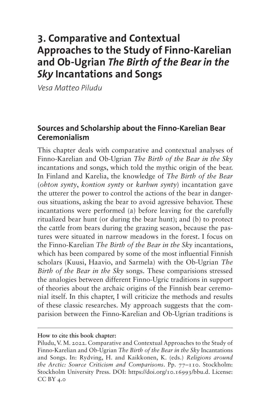# **3. Comparative and Contextual Approaches to the Study of Finno-Karelian and Ob-Ugrian** *The Birth of the Bear in the Sky* **Incantations and Songs**

*Vesa Matteo Piludu*

## **Sources and Scholarship about the Finno-Karelian Bear Ceremonialism**

This chapter deals with comparative and contextual analyses of Finno-Karelian and Ob-Ugrian *The Birth of the Bear in the Sky*  incantations and songs, which told the mythic origin of the bear. In Finland and Karelia, the knowledge of *The Birth of the Bear* (*ohton synty*, *kontion synty* or *karhun synty*) incantation gave the utterer the power to control the actions of the bear in dangerous situations, asking the bear to avoid agressive behavior. These incantations were performed (a) before leaving for the carefully ritualized bear hunt (or during the bear hunt); and (b) to protect the cattle from bears during the grazing season, because the pastures were situated in narrow meadows in the forest. I focus on the Finno-Karelian *The Birth of the Bear in the Sky* incantations, which has been compared by some of the most influential Finnish scholars (Kuusi, Haavio, and Sarmela) with the Ob-Ugrian *The Birth of the Bear in the Sky* songs. These comparisions stressed the analogies between different Finno-Ugric traditions in support of theories about the archaic origins of the Finnish bear ceremonial itself. In this chapter, I will criticize the methods and results of these classic researches. My approach suggests that the comparision between the Finno-Karelian and Ob-Ugrian traditions is

**How to cite this book chapter:**

Piludu, V. M. 2022. Comparative and Contextual Approaches to the Study of Finno-Karelian and Ob-Ugrian *The Birth of the Bear in the Sky* Incantations and Songs. In: Rydving, H. and Kaikkonen, K. (eds.) *Religions around the Arctic: Source Criticism and Comparisons*. Pp. 77–110. Stockholm: Stockholm University Press. DOI: [https://doi.org/10.16993/bbu.d.](https://doi.org/10.16993/bbu.d) License: CC BY 4.0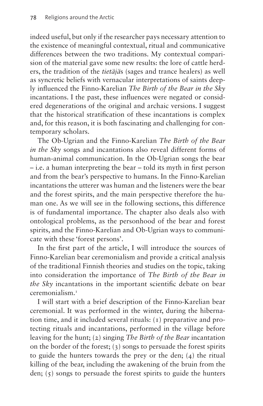indeed useful, but only if the researcher pays necessary attention to the existence of meaningful contextual, ritual and communicative differences between the two traditions. My contextual comparision of the material gave some new results: the lore of cattle herders, the tradition of the *tietäjä*s (sages and trance healers) as well as syncretic beliefs with vernacular interpretations of saints deeply influenced the Finno-Karelian *The Birth of the Bear in the Sky*  incantations. I the past, these influences were negated or considered degenerations of the original and archaic versions. I suggest that the historical stratification of these incantations is complex and, for this reason, it is both fascinating and challenging for contemporary scholars.

The Ob-Ugrian and the Finno-Karelian *The Birth of the Bear in the Sky* songs and incantations also reveal different forms of human-animal communication. In the Ob-Ugrian songs the bear – i.e. a human interpreting the bear – told its myth in first person and from the bear's perspective to humans. In the Finno-Karelian incantations the utterer was human and the listeners were the bear and the forest spirits, and the main perspective therefore the human one. As we will see in the following sections, this difference is of fundamental importance. The chapter also deals also with ontological problems, as the personhood of the bear and forest spirits, and the Finno-Karelian and Ob-Ugrian ways to communicate with these 'forest persons'.

In the first part of the article, I will introduce the sources of Finno-Karelian bear ceremonialism and provide a critical analysis of the traditional Finnish theories and studies on the topic, taking into consideration the importance of *The Birth of the Bear in the Sky* incantations in the important scientific debate on bear ceremonialism.[1](#page-24-0)

I will start with a brief description of the Finno-Karelian bear ceremonial. It was performed in the winter, during the hibernation time, and it included several rituals: (1) preparative and protecting rituals and incantations, performed in the village before leaving for the hunt; (2) singing *The Birth of the Bear* incantation on the border of the forest; (3) songs to persuade the forest spirits to guide the hunters towards the prey or the den; (4) the ritual killing of the bear, including the awakening of the bruin from the den;  $(5)$  songs to persuade the forest spirits to guide the hunters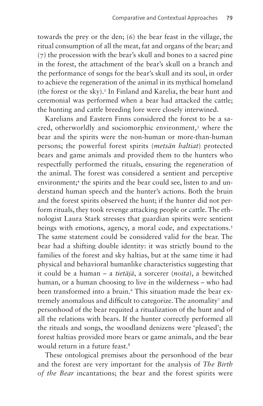towards the prey or the den; (6) the bear feast in the village, the ritual consumption of all the meat, fat and organs of the bear; and (7) the procession with the bear's skull and bones to a sacred pine in the forest, the attachment of the bear's skull on a branch and the performance of songs for the bear's skull and its soul, in order to achieve the regeneration of the animal in its mythical homeland (the forest or the sky).<sup>2</sup> In Finland and Karelia, the bear hunt and ceremonial was performed when a bear had attacked the cattle; the hunting and cattle breeding lore were closely interwined.

Karelians and Eastern Finns considered the forest to be a sacred, otherworldly and sociomorphic environment[,3](#page-24-2) where the bear and the spirits were the non-human or more-than-human persons; the powerful forest spirits (*metsän haltiat*) protected bears and game animals and provided them to the hunters who respectfully performed the rituals, ensuring the regeneration of the animal. The forest was considered a sentient and perceptive environment;[4](#page-24-3) the spirits and the bear could see, listen to and understand human speech and the hunter's actions. Both the bruin and the forest spirits observed the hunt; if the hunter did not perform rituals, they took revenge attacking people or cattle. The ethnologist Laura Stark stresses that guardian spirits were sentient beings with emotions, agency, a moral code, and expectations.<sup>5</sup> The same statement could be considered valid for the bear. The bear had a shifting double identity: it was strictly bound to the families of the forest and sky haltias, but at the same time it had physical and behavioral humanlike characteristics suggesting that it could be a human – a *tietäjä*, a sorcerer (*noita*), a bewitched human, or a human choosing to live in the wilderness – who had been transformed into a bruin.<sup>[6](#page-24-5)</sup> This situation made the bear ex-tremely anomalous and difficult to categorize. The anomality<sup>[7](#page-24-6)</sup> and personhood of the bear requited a ritualization of the hunt and of all the relations with bears. If the hunter correctly performed all the rituals and songs, the woodland denizens were 'pleased'; the forest haltias provided more bears or game animals, and the bear would return in a future feast.<sup>8</sup>

These ontological premises about the personhood of the bear and the forest are very important for the analysis of *The Birth of the Bear* incantations; the bear and the forest spirits were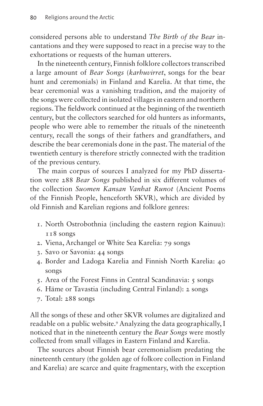considered persons able to understand *The Birth of the Bear* incantations and they were supposed to react in a precise way to the exhortations or requests of the human utterers.

In the nineteenth century, Finnish folklore collectors transcribed a large amount of *Bear Songs* (*karhuvirret*, songs for the bear hunt and ceremonials) in Finland and Karelia. At that time, the bear ceremonial was a vanishing tradition, and the majority of the songs were collected in isolated villages in eastern and northern regions. The fieldwork continued at the beginning of the twentieth century, but the collectors searched for old hunters as informants, people who were able to remember the rituals of the nineteenth century, recall the songs of their fathers and grandfathers, and describe the bear ceremonials done in the past. The material of the twentieth century is therefore strictly connected with the tradition of the previous century.

The main corpus of sources I analyzed for my PhD dissertation were 288 *Bear Songs* published in six different volumes of the collection *Suomen Kansan Vanhat Runot* (Ancient Poems of the Finnish People, henceforth SKVR), which are divided by old Finnish and Karelian regions and folklore genres:

- 1. North Ostrobothnia (including the eastern region Kainuu): 118 songs
- 2. Viena, Archangel or White Sea Karelia: 79 songs
- 3. Savo or Savonia: 44 songs
- 4. Border and Ladoga Karelia and Finnish North Karelia: 40 songs
- 5. Area of the Forest Finns in Central Scandinavia: 5 songs
- 6. Häme or Tavastia (including Central Finland): 2 songs
- 7. Total: 288 songs

All the songs of these and other SKVR volumes are digitalized and readable on a public website.[9](#page-24-8) Analyzing the data geographically, I noticed that in the nineteenth century the *Bear Songs* were mostly collected from small villages in Eastern Finland and Karelia.

The sources about Finnish bear ceremonialism predating the nineteenth century (the golden age of folkore collection in Finland and Karelia) are scarce and quite fragmentary, with the exception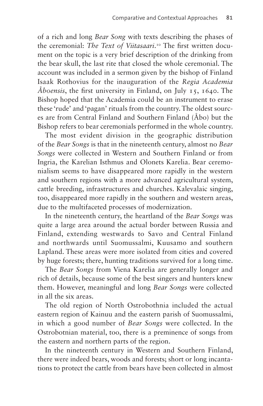of a rich and long *Bear Song* with texts describing the phases of the ceremonial: *The Text of Viitasaari*. [10](#page-24-9) The first written document on the topic is a very brief description of the drinking from the bear skull, the last rite that closed the whole ceremonial. The account was included in a sermon given by the bishop of Finland Isaak Rothovius for the inauguration of the *Regia Academia Åboensis*, the first university in Finland, on July 15, 1640. The Bishop hoped that the Academia could be an instrument to erase these 'rude' and 'pagan' rituals from the country. The oldest sources are from Central Finland and Southern Finland (Åbo) but the Bishop refers to bear ceremonials performed in the whole country.

The most evident division in the geographic distribution of the *Bear Songs* is that in the nineteenth century, almost no *Bear Songs* were collected in Western and Southern Finland or from Ingria, the Karelian Isthmus and Olonets Karelia. Bear ceremonialism seems to have disappeared more rapidly in the western and southern regions with a more advanced agricultural system, cattle breeding, infrastructures and churches. Kalevalaic singing, too, disappeared more rapidly in the southern and western areas, due to the multifaceted processes of modernization.

In the nineteenth century, the heartland of the *Bear Songs* was quite a large area around the actual border between Russia and Finland, extending westwards to Savo and Central Finland and northwards until Suomussalmi, Kuusamo and southern Lapland. These areas were more isolated from cities and covered by huge forests; there, hunting traditions survived for a long time.

The *Bear Songs* from Viena Karelia are generally longer and rich of details, because some of the best singers and hunters knew them. However, meaningful and long *Bear Songs* were collected in all the six areas.

The old region of North Ostrobothnia included the actual eastern region of Kainuu and the eastern parish of Suomussalmi, in which a good number of *Bear Songs* were collected. In the Ostrobotnian material, too, there is a preminence of songs from the eastern and northern parts of the region.

In the nineteenth century in Western and Southern Finland, there were indeed bears, woods and forests; short or long incantations to protect the cattle from bears have been collected in almost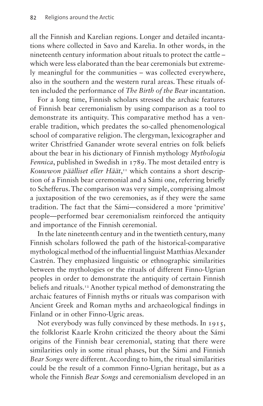all the Finnish and Karelian regions. Longer and detailed incantations where collected in Savo and Karelia. In other words, in the nineteenth century information about rituals to protect the cattle – which were less elaborated than the bear ceremonials but extremely meaningful for the communities – was collected everywhere, also in the southern and the western rural areas. These rituals often included the performance of *The Birth of the Bear* incantation.

For a long time, Finnish scholars stressed the archaic features of Finnish bear ceremonialism by using comparison as a tool to demonstrate its antiquity. This comparative method has a venerable tradition, which predates the so-called phenomenological school of comparative religion. The clergyman, lexicographer and writer Christfried Ganander wrote several entries on folk beliefs about the bear in his dictionary of Finnish mythology *Mythologia Fennica*, published in Swedish in 1789. The most detailed entry is Kouwwon päälliset eller Häät,<sup>[11](#page-24-10)</sup> which contains a short description of a Finnish bear ceremonial and a Sámi one, referring briefly to Schefferus. The comparison was very simple, comprising almost a juxtaposition of the two ceremonies, as if they were the same tradition. The fact that the Sámi—considered a more 'primitive' people—performed bear ceremonialism reinforced the antiquity and importance of the Finnish ceremonial.

In the late nineteenth century and in the twentieth century, many Finnish scholars followed the path of the historical-comparative mythological method of the influential linguist Matthias Alexander Castrén. They emphasized linguistic or ethnographic similarities between the mythologies or the rituals of different Finno-Ugrian peoples in order to demonstrate the antiquity of certain Finnish beliefs and rituals.[12](#page-24-11) Another typical method of demonstrating the archaic features of Finnish myths or rituals was comparison with Ancient Greek and Roman myths and archaeological findings in Finland or in other Finno-Ugric areas.

Not everybody was fully convinced by these methods. In 1915, the folklorist Kaarle Krohn criticized the theory about the Sámi origins of the Finnish bear ceremonial, stating that there were similarities only in some ritual phases, but the Sámi and Finnish *Bear Songs* were different. According to him, the ritual similarities could be the result of a common Finno-Ugrian heritage, but as a whole the Finnish *Bear Songs* and ceremonialism developed in an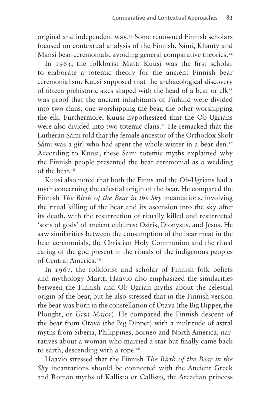original and independent way.<sup>13</sup> Some renowned Finnish scholars focused on contextual analysis of the Finnish, Sámi, Khanty and Mansi bear ceremonials, avoiding general comparative theories.<sup>[14](#page-24-13)</sup>

In 1963, the folklorist Matti Kuusi was the first scholar to elaborate a totemic theory for the ancient Finnish bear ceremonialism. Kuusi supposed that the archaeological discovery of fifteen prehistoric axes shaped with the head of a bear or  $elk<sup>T5</sup>$ was proof that the ancient inhabitants of Finland were divided into two clans, one worshipping the bear, the other worshipping the elk. Furthermore, Kuusi hypothesized that the Ob-Ugrians were also divided into two totemic clans.<sup>16</sup> He remarked that the Lutheran Sámi told that the female ancestor of the Orthodox Skolt Sámi was a girl who had spent the whole winter in a bear den.<sup>[17](#page-25-2)</sup> According to Kuusi, these Sámi totemic myths explained why the Finnish people presented the bear ceremonial as a wedding of the bear.[18](#page-25-3)

Kuusi also noted that both the Finns and the Ob-Ugrians had a myth concerning the celestial origin of the bear. He compared the Finnish *The Birth of the Bear in the Sky* incantations, involving the ritual killing of the bear and its ascension into the sky after its death, with the resurrection of ritually killed and resurrected 'sons of gods' of ancient cultures: Osiris, Dionysus, and Jesus. He saw similarities between the consumption of the bear meat in the bear ceremonials, the Christian Holy Communion and the ritual eating of the god present in the rituals of the indigenous peoples of Central America[.19](#page-25-4)

In 1967, the folklorist and scholar of Finnish folk beliefs and mythology Martti Haavio also emphasized the similarities between the Finnish and Ob-Ugrian myths about the celestial origin of the bear, but he also stressed that in the Finnish version the bear was born in the constellation of Otava (the Big Dipper, the Plought, or *Ursa Major*). He compared the Finnish descent of the bear from Otava (the Big Dipper) with a multitude of astral myths from Siberia, Philippines, Borneo and North America; narratives about a woman who married a star but finally came back to earth, descending with a rope.<sup>20</sup>

Haavio stressed that the Finnish *The Birth of the Bear in the Sky* incantations should be connected with the Ancient Greek and Roman myths of Kallisto or Callisto, the Arcadian princess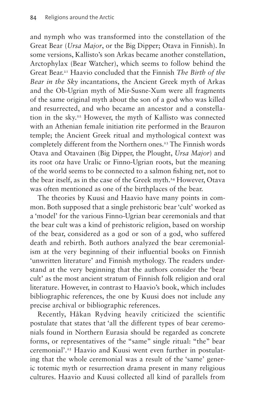and nymph who was transformed into the constellation of the Great Bear (*Ursa Major*, or the Big Dipper; Otava in Finnish). In some versions, Kallisto's son Arkas became another constellation, Arctophylax (Bear Watcher), which seems to follow behind the Great Bear[.21](#page-25-6) Haavio concluded that the Finnish *The Birth of the Bear in the Sky* incantations, the Ancient Greek myth of Arkas and the Ob-Ugrian myth of Mir-Susne-Xum were all fragments of the same original myth about the son of a god who was killed and resurrected, and who became an ancestor and a constellation in the sky.<sup>22</sup> However, the myth of Kallisto was connected with an Athenian female initiation rite performed in the Brauron temple; the Ancient Greek ritual and mythological context was completely different from the Northern ones.<sup>23</sup> The Finnish words Otava and Otavainen (Big Dipper, the Plought, *Ursa Major*) and its root *ota* have Uralic or Finno-Ugrian roots, but the meaning of the world seems to be connected to a salmon fishing net, not to the bear itself, as in the case of the Greek myth.<sup>24</sup> However, Otava was often mentioned as one of the birthplaces of the bear.

The theories by Kuusi and Haavio have many points in common. Both supposed that a single prehistoric bear 'cult' worked as a 'model' for the various Finno-Ugrian bear ceremonials and that the bear cult was a kind of prehistoric religion, based on worship of the bear, considered as a god or son of a god, who suffered death and rebirth. Both authors analyzed the bear ceremonialism at the very beginning of their influential books on Finnish 'unwritten literature' and Finnish mythology. The readers understand at the very beginning that the authors consider the 'bear cult' as the most ancient stratum of Finnish folk religion and oral literature. However, in contrast to Haavio's book, which includes bibliographic references, the one by Kuusi does not include any precise archival or bibliographic references.

Recently, Håkan Rydving heavily criticized the scientific postulate that states that 'all the different types of bear ceremonials found in Northern Eurasia should be regarded as concrete forms, or representatives of the "same" single ritual: "the" bear ceremonial'[.25](#page-25-10) Haavio and Kuusi went even further in postulating that the whole ceremonial was a result of the 'same' generic totemic myth or resurrection drama present in many religious cultures. Haavio and Kuusi collected all kind of parallels from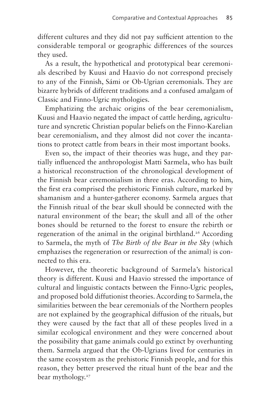different cultures and they did not pay sufficient attention to the considerable temporal or geographic differences of the sources they used.

As a result, the hypothetical and prototypical bear ceremonials described by Kuusi and Haavio do not correspond precisely to any of the Finnish, Sámi or Ob-Ugrian ceremonials. They are bizarre hybrids of different traditions and a confused amalgam of Classic and Finno-Ugric mythologies.

Emphatizing the archaic origins of the bear ceremonialism, Kuusi and Haavio negated the impact of cattle herding, agricultuture and syncretic Christian popular beliefs on the Finno-Karelian bear ceremonialism, and they almost did not cover the incantations to protect cattle from bears in their most important books.

Even so, the impact of their theories was huge, and they partially influenced the anthropologist Matti Sarmela, who has built a historical reconstruction of the chronological development of the Finnish bear ceremonialism in three eras. According to him, the first era comprised the prehistoric Finnish culture, marked by shamanism and a hunter-gatherer economy. Sarmela argues that the Finnish ritual of the bear skull should be connected with the natural environment of the bear; the skull and all of the other bones should be returned to the forest to ensure the rebirth or regeneration of the animal in the original birthland.[26](#page-25-11) According to Sarmela, the myth of *The Birth of the Bear in the Sky* (which emphazises the regeneration or resurrection of the animal) is connected to this era.

However, the theoretic background of Sarmela's historical theory is different. Kuusi and Haavio stressed the importance of cultural and linguistic contacts between the Finno-Ugric peoples, and proposed bold diffutionist theories. According to Sarmela, the similarities between the bear ceremonials of the Northern peoples are not explained by the geographical diffusion of the rituals, but they were caused by the fact that all of these peoples lived in a similar ecological environment and they were concerned about the possibility that game animals could go extinct by overhunting them. Sarmela argued that the Ob-Ugrians lived for centuries in the same ecosystem as the prehistoric Finnish people, and for this reason, they better preserved the ritual hunt of the bear and the bear mythology.<sup>[27](#page-25-12)</sup>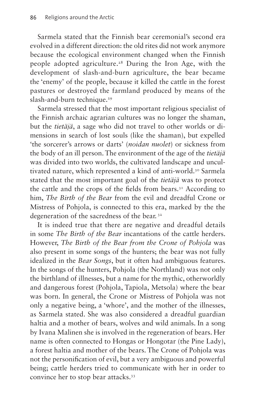Sarmela stated that the Finnish bear ceremonial's second era evolved in a different direction: the old rites did not work anymore because the ecological environment changed when the Finnish people adopted agriculture.[28](#page-25-13) During the Iron Age, with the development of slash-and-burn agriculture, the bear became the 'enemy' of the people, because it killed the cattle in the forest pastures or destroyed the farmland produced by means of the slash-and-burn technique.<sup>[29](#page-25-14)</sup>

Sarmela stressed that the most important religious specialist of the Finnish archaic agrarian cultures was no longer the shaman, but the *tietäjä*, a sage who did not travel to other worlds or dimensions in search of lost souls (like the shaman), but expelled 'the sorcerer's arrows or darts' (*noidan nuolet*) or sickness from the body of an ill person. The environment of the age of the *tietäjä* was divided into two worlds, the cultivated landscape and uncultivated nature, which represented a kind of anti-world.<sup>30</sup> Sarmela stated that the most important goal of the *tietäjä* was to protect the cattle and the crops of the fields from bears.<sup>31</sup> According to him, *The Birth of the Bear* from the evil and dreadful Crone or Mistress of Pohjola, is connected to this era, marked by the the degeneration of the sacredness of the bear. [32](#page-25-17)

It is indeed true that there are negative and dreadful details in some *The Birth of the Bear* incantations of the cattle herders. However, *The Birth of the Bear from the Crone of Pohjola* was also present in some songs of the hunters; the bear was not fully idealized in the *Bear Songs*, but it often had ambiguous features. In the songs of the hunters, Pohjola (the Northland) was not only the birthland of illnesses, but a name for the mythic, otherworldly and dangerous forest (Pohjola, Tapiola, Metsola) where the bear was born. In general, the Crone or Mistress of Pohjola was not only a negative being, a 'whore', and the mother of the illnesses, as Sarmela stated. She was also considered a dreadful guardian haltia and a mother of bears, wolves and wild animals. In a song by Ivana Malinen she is involved in the regeneration of bears. Her name is often connected to Hongas or Hongotar (the Pine Lady), a forest haltia and mother of the bears. The Crone of Pohjola was not the personification of evil, but a very ambiguous and powerful being; cattle herders tried to communicate with her in order to convince her to stop bear attacks.<sup>[33](#page-25-18)</sup>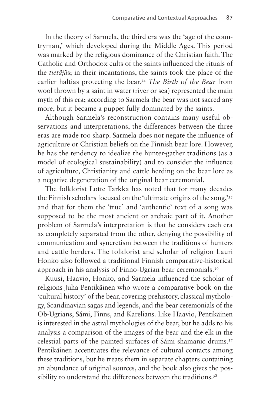In the theory of Sarmela, the third era was the 'age of the countryman,' which developed during the Middle Ages. This period was marked by the religious dominance of the Christian faith. The Catholic and Orthodox cults of the saints influenced the rituals of the *tietäjä*s; in their incantations, the saints took the place of the earlier haltias protecting the bear[.34](#page-25-19) *The Birth of the Bear* from wool thrown by a saint in water (river or sea) represented the main myth of this era; according to Sarmela the bear was not sacred any more, but it became a puppet fully dominated by the saints.

Although Sarmela's reconstruction contains many useful observations and interpretations, the differences between the three eras are made too sharp. Sarmela does not negate the influence of agriculture or Christian beliefs on the Finnish bear lore. However, he has the tendency to idealize the hunter-gather traditions (as a model of ecological sustainability) and to consider the influence of agriculture, Christianity and cattle herding on the bear lore as a negative degeneration of the original bear ceremonial.

The folklorist Lotte Tarkka has noted that for many decades the Finnish scholars focused on the 'ultimate origins of the song,'[35](#page-25-20) and that for them the 'true' and 'authentic' text of a song was supposed to be the most ancient or archaic part of it. Another problem of Sarmela's interpretation is that he considers each era as completely separated from the other, denying the possibility of communication and syncretism between the traditions of hunters and cattle herders. The folklorist and scholar of religion Lauri Honko also followed a traditional Finnish comparative-historical approach in his analysis of Finno-Ugrian bear ceremonials.<sup>36</sup>

Kuusi, Haavio, Honko, and Sarmela influenced the scholar of religions Juha Pentikäinen who wrote a comparative book on the 'cultural history' of the bear, covering prehistory, classical mythology, Scandinavian sagas and legends, and the bear ceremonials of the Ob-Ugrians, Sámi, Finns, and Karelians. Like Haavio, Pentikäinen is interested in the astral mythologies of the bear, but he adds to his analysis a comparison of the images of the bear and the elk in the celestial parts of the painted surfaces of Sámi shamanic drums.[37](#page-25-22) Pentikäinen accentuates the relevance of cultural contacts among these traditions, but he treats them in separate chapters containing an abundance of original sources, and the book also gives the possibility to understand the differences between the traditions.<sup>38</sup>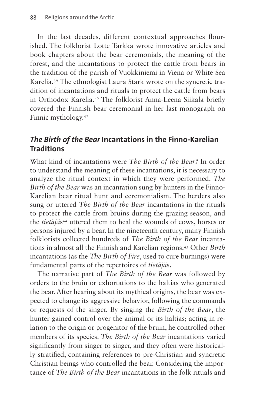In the last decades, different contextual approaches flourished. The folklorist Lotte Tarkka wrote innovative articles and book chapters about the bear ceremonials, the meaning of the forest, and the incantations to protect the cattle from bears in the tradition of the parish of Vuokkiniemi in Viena or White Sea Karelia.[39](#page-26-0) The ethnologist Laura Stark wrote on the syncretic tradition of incantations and rituals to protect the cattle from bears in Orthodox Karelia.[40](#page-26-1) The folklorist Anna-Leena Siikala briefly covered the Finnish bear ceremonial in her last monograph on Finnic mythology.<sup>[41](#page-26-2)</sup>

## *The Birth of the Bear* **Incantations in the Finno-Karelian Traditions**

What kind of incantations were *The Birth of the Bear?* In order to understand the meaning of these incantations, it is necessary to analyze the ritual context in which they were performed. *The Birth of the Bear* was an incantation sung by hunters in the Finno-Karelian bear ritual hunt and ceremonialism. The herders also sung or uttered *The Birth of the Bear* incantations in the rituals to protect the cattle from bruins during the grazing season, and the *tietäjä*s<sup>42</sup> uttered them to heal the wounds of cows, horses or persons injured by a bear. In the nineteenth century, many Finnish folklorists collected hundreds of *The Birth of the Bear* incantations in almost all the Finnish and Karelian regions.[43](#page-26-4) Other *Birth* incantations (as the *The Birth of Fire*, used to cure burnings) were fundamental parts of the repertoires of *tietäjä*s.

The narrative part of *The Birth of the Bear* was followed by orders to the bruin or exhortations to the haltias who generated the bear. After hearing about its mythical origins, the bear was expected to change its aggressive behavior, following the commands or requests of the singer. By singing the *Birth of the Bear*, the hunter gained control over the animal or its haltias; acting in relation to the origin or progenitor of the bruin, he controlled other members of its species. *The Birth of the Bear* incantations varied significantly from singer to singer, and they often were historically stratified, containing references to pre-Christian and syncretic Christian beings who controlled the bear. Considering the importance of *The Birth of the Bear* incantations in the folk rituals and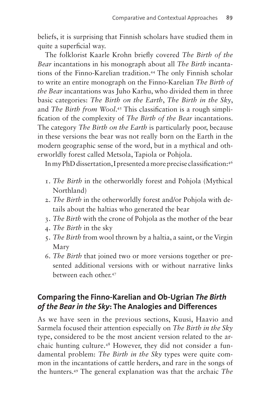beliefs, it is surprising that Finnish scholars have studied them in quite a superficial way.

The folklorist Kaarle Krohn briefly covered *The Birth of the Bear* incantations in his monograph about all *The Birth* incantations of the Finno-Karelian tradition[.44](#page-26-5) The only Finnish scholar to write an entire monograph on the Finno-Karelian *The Birth of the Bear* incantations was Juho Karhu, who divided them in three basic categories: *The Birth on the Earth*, *The Birth in the Sky*, and *The Birth from Wool*. [45](#page-26-6) This classification is a rough simplification of the complexity of *The Birth of the Bear* incantations. The category *The Birth on the Earth* is particularly poor, because in these versions the bear was not really born on the Earth in the modern geographic sense of the word, but in a mythical and otherworldly forest called Metsola, Tapiola or Pohjola.

In my PhD dissertation, I presented a more precise classification:[46](#page-26-7)

- 1. *The Birth* in the otherworldly forest and Pohjola (Mythical Northland)
- 2. *The Birth* in the otherworldly forest and/or Pohjola with details about the haltias who generated the bear
- 3. *The Birth* with the crone of Pohjola as the mother of the bear
- 4. *The Birth* in the sky
- 5. *The Birth* from wool thrown by a haltia, a saint, or the Virgin Mary
- 6. *The Birth* that joined two or more versions together or presented additional versions with or without narrative links between each other.[47](#page-26-8)

## **Comparing the Finno-Karelian and Ob-Ugrian** *The Birth of the Bear in the Sky***: The Analogies and Differences**

As we have seen in the previous sections, Kuusi, Haavio and Sarmela focused their attention especially on *The Birth in the Sky*  type, considered to be the most ancient version related to the archaic hunting culture.[48](#page-26-9) However, they did not consider a fundamental problem: *The Birth in the Sky* types were quite common in the incantations of cattle herders, and rare in the songs of the hunters[.49](#page-26-10) The general explanation was that the archaic *The*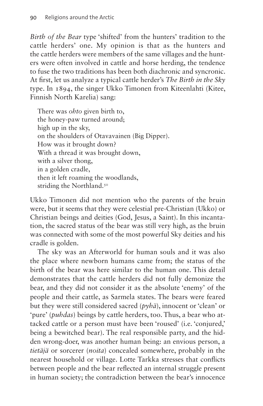*Birth of the Bear* type 'shifted' from the hunters' tradition to the cattle herders' one. My opinion is that as the hunters and the cattle herders were members of the same villages and the hunters were often involved in cattle and horse herding, the tendence to fuse the two traditions has been both diachronic and syncronic. At first, let us analyze a typical cattle herder's *The Birth in the Sky*  type. In 1894, the singer Ukko Timonen from Kiteenlahti (Kitee, Finnish North Karelia) sang:

There was *ohto* given birth to, the honey-paw turned around; high up in the sky, on the shoulders of Otavavainen (Big Dipper). How was it brought down? With a thread it was brought down, with a silver thong, in a golden cradle, then it left roaming the woodlands, striding the Northland.<sup>[50](#page-26-11)</sup>

Ukko Timonen did not mention who the parents of the bruin were, but it seems that they were celestial pre-Christian (Ukko) or Christian beings and deities (God, Jesus, a Saint). In this incantation, the sacred status of the bear was still very high, as the bruin was connected with some of the most powerful Sky deities and his cradle is golden.

The sky was an Afterworld for human souls and it was also the place where newborn humans came from; the status of the birth of the bear was here similar to the human one. This detail demonstrates that the cattle herders did not fully demonize the bear, and they did not consider it as the absolute 'enemy' of the people and their cattle, as Sarmela states. The bears were feared but they were still considered sacred (*pyhä*), innocent or 'clean' or 'pure' (*puhdas*) beings by cattle herders, too. Thus, a bear who attacked cattle or a person must have been 'roused' (i.e. 'conjured,' being a bewitched bear). The real responsible party, and the hidden wrong-doer, was another human being: an envious person, a *tietäjä* or sorcerer (*noita*) concealed somewhere, probably in the nearest household or village. Lotte Tarkka stresses that conflicts between people and the bear reflected an internal struggle present in human society; the contradiction between the bear's innocence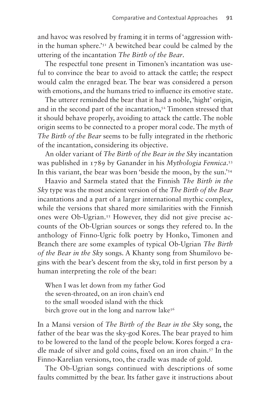and havoc was resolved by framing it in terms of 'aggression within the human sphere.'<sup>51</sup> A bewitched bear could be calmed by the uttering of the incantation *The Birth of the Bear*.

The respectful tone present in Timonen's incantation was useful to convince the bear to avoid to attack the cattle; the respect would calm the enraged bear. The bear was considered a person with emotions, and the humans tried to influence its emotive state.

The utterer reminded the bear that it had a noble, 'hight' origin, and in the second part of the incantation,<sup>52</sup> Timonen stressed that it should behave properly, avoiding to attack the cattle. The noble origin seems to be connected to a proper moral code. The myth of *The Birth of the Bear* seems to be fully integrated in the rhethoric of the incantation, considering its objective.

An older variant of *The Birth of the Bear in the Sky* incantation was published in 1789 by Ganander in his *Mythologia Fennica*. [53](#page-26-14) In this variant, the bear was born 'beside the moon, by the sun.'[54](#page-26-15)

Haavio and Sarmela stated that the Finnish *The Birth in the Sky* type was the most ancient version of the *The Birth of the Bear*  incantations and a part of a larger international mythic complex, while the versions that shared more similarities with the Finnish ones were Ob-Ugrian.[55](#page-27-0) However, they did not give precise accounts of the Ob-Ugrian sources or songs they refered to. In the anthology of Finno-Ugric folk poetry by Honko, Timonen and Branch there are some examples of typical Ob-Ugrian *The Birth of the Bear in the Sky* songs. A Khanty song from Shumilovo begins with the bear's descent from the sky, told in first person by a human interpreting the role of the bear:

When I was let down from my father God the seven-throated, on an iron chain's end to the small wooded island with the thick birch grove out in the long and narrow lake<sup>[56](#page-27-1)</sup>

In a Mansi version of *The Birth of the Bear in the Sky* song, the father of the bear was the sky-god Kores. The bear prayed to him to be lowered to the land of the people below. Kores forged a cradle made of silver and gold coins, fixed on an iron chain[.57](#page-27-2) In the Finno-Karelian versions, too, the cradle was made of gold.

The Ob-Ugrian songs continued with descriptions of some faults committed by the bear. Its father gave it instructions about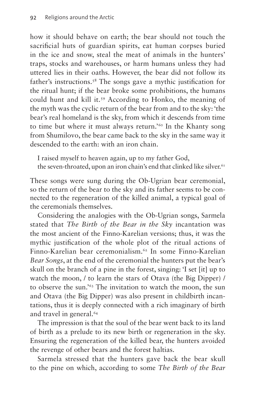how it should behave on earth; the bear should not touch the sacrificial huts of guardian spirits, eat human corpses buried in the ice and snow, steal the meat of animals in the hunters' traps, stocks and warehouses, or harm humans unless they had uttered lies in their oaths. However, the bear did not follow its father's instructions[.58](#page-27-3) The songs gave a mythic justification for the ritual hunt; if the bear broke some prohibitions, the humans could hunt and kill it.[59](#page-27-4) According to Honko, the meaning of the myth was the cyclic return of the bear from and to the sky: 'the bear's real homeland is the sky, from which it descends from time to time but where it must always return.<sup>'[60](#page-27-5)</sup> In the Khanty song from Shumilovo, the bear came back to the sky in the same way it descended to the earth: with an iron chain.

I raised myself to heaven again, up to my father God, the seven-throated, upon an iron chain's end that clinked like silver.<sup>[61](#page-27-6)</sup>

These songs were sung during the Ob-Ugrian bear ceremonial, so the return of the bear to the sky and its father seems to be connected to the regeneration of the killed animal, a typical goal of the ceremonials themselves.

Considering the analogies with the Ob-Ugrian songs, Sarmela stated that *The Birth of the Bear in the Sky* incantation was the most ancient of the Finno-Karelian versions; thus, it was the mythic justification of the whole plot of the ritual actions of Finno-Karelian bear ceremonialism.[62](#page-27-7) In some Finno-Karelian *Bear Songs*, at the end of the ceremonial the hunters put the bear's skull on the branch of a pine in the forest, singing: 'I set [it] up to watch the moon, / to learn the stars of Otava (the Big Dipper) / to observe the sun.'[63](#page-27-8) The invitation to watch the moon, the sun and Otava (the Big Dipper) was also present in childbirth incantations, thus it is deeply connected with a rich imaginary of birth and travel in general.<sup>64</sup>

The impression is that the soul of the bear went back to its land of birth as a prelude to its new birth or regeneration in the sky. Ensuring the regeneration of the killed bear, the hunters avoided the revenge of other bears and the forest haltias.

Sarmela stressed that the hunters gave back the bear skull to the pine on which, according to some *The Birth of the Bear*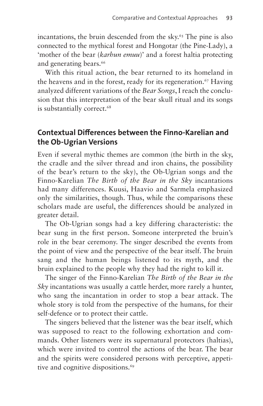incantations, the bruin descended from the sky. $65$  The pine is also connected to the mythical forest and Hongotar (the Pine-Lady), a 'mother of the bear (*karhun emuu*)' and a forest haltia protecting and generating bears.<sup>66</sup>

With this ritual action, the bear returned to its homeland in the heavens and in the forest, ready for its regeneration.<sup>[67](#page-27-12)</sup> Having analyzed different variations of the *Bear Songs*, I reach the conclusion that this interpretation of the bear skull ritual and its songs is substantially correct.<sup>68</sup>

## **Contextual Differences between the Finno-Karelian and the Ob-Ugrian Versions**

Even if several mythic themes are common (the birth in the sky, the cradle and the silver thread and iron chains, the possibility of the bear's return to the sky), the Ob-Ugrian songs and the Finno-Karelian *The Birth of the Bear in the Sky* incantations had many differences. Kuusi, Haavio and Sarmela emphasized only the similarities, though. Thus, while the comparisons these scholars made are useful, the differences should be analyzed in greater detail.

The Ob-Ugrian songs had a key differing characteristic: the bear sung in the first person. Someone interpreted the bruin's role in the bear ceremony. The singer described the events from the point of view and the perspective of the bear itself. The bruin sang and the human beings listened to its myth, and the bruin explained to the people why they had the right to kill it.

The singer of the Finno-Karelian *The Birth of the Bear in the Sky* incantations was usually a cattle herder, more rarely a hunter, who sang the incantation in order to stop a bear attack. The whole story is told from the perspective of the humans, for their self-defence or to protect their cattle.

The singers believed that the listener was the bear itself, which was supposed to react to the following exhortation and commands. Other listeners were its supernatural protectors (haltias), which were invited to control the actions of the bear. The bear and the spirits were considered persons with perceptive, appetitive and cognitive dispositions.<sup>69</sup>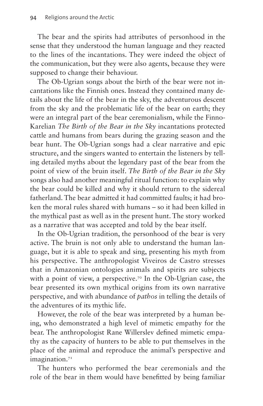The bear and the spirits had attributes of personhood in the sense that they understood the human language and they reacted to the lines of the incantations. They were indeed the object of the communication, but they were also agents, because they were supposed to change their behaviour.

The Ob-Ugrian songs about the birth of the bear were not incantations like the Finnish ones. Instead they contained many details about the life of the bear in the sky, the adventurous descent from the sky and the problematic life of the bear on earth; they were an integral part of the bear ceremonialism, while the Finno-Karelian *The Birth of the Bear in the Sky* incantations protected cattle and humans from bears during the grazing season and the bear hunt. The Ob-Ugrian songs had a clear narrative and epic structure, and the singers wanted to entertain the listeners by telling detailed myths about the legendary past of the bear from the point of view of the bruin itself. *The Birth of the Bear in the Sky*  songs also had another meaningful ritual function: to explain why the bear could be killed and why it should return to the sidereal fatherland. The bear admitted it had committed faults; it had broken the moral rules shared with humans – so it had been killed in the mythical past as well as in the present hunt. The story worked as a narrative that was accepted and told by the bear itself.

In the Ob-Ugrian tradition, the personhood of the bear is very active. The bruin is not only able to understand the human language, but it is able to speak and sing, presenting his myth from his perspective. The anthropologist Viveiros de Castro stresses that in Amazonian ontologies animals and spirits are subjects with a point of view, a perspective.<sup>70</sup> In the Ob-Ugrian case, the bear presented its own mythical origins from its own narrative perspective, and with abundance of *pathos* in telling the details of the adventures of its mythic life.

However, the role of the bear was interpreted by a human being, who demonstrated a high level of mimetic empathy for the bear. The anthropologist Rane Willerslev defined mimetic empathy as the capacity of hunters to be able to put themselves in the place of the animal and reproduce the animal's perspective and imagination.<sup>[71](#page-27-16)</sup>

The hunters who performed the bear ceremonials and the role of the bear in them would have benefitted by being familiar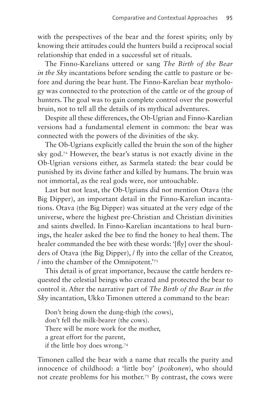with the perspectives of the bear and the forest spirits; only by knowing their attitudes could the hunters build a reciprocal social relationship that ended in a successful set of rituals.

The Finno-Karelians uttered or sang *The Birth of the Bear in the Sky* incantations before sending the cattle to pasture or before and during the bear hunt. The Finno-Karelian bear mythology was connected to the protection of the cattle or of the group of hunters. The goal was to gain complete control over the powerful bruin, not to tell all the details of its mythical adventures.

Despite all these differences, the Ob-Ugrian and Finno-Karelian versions had a fundamental element in common: the bear was connected with the powers of the divinities of the sky.

The Ob-Ugrians explicitly called the bruin the son of the higher sky god[.72](#page-27-17) However, the bear's status is not exactly divine in the Ob-Ugrian versions either, as Sarmela stated: the bear could be punished by its divine father and killed by humans. The bruin was not immortal, as the real gods were, nor untouchable.

Last but not least, the Ob-Ugrians did not mention Otava (the Big Dipper), an important detail in the Finno-Karelian incantations. Otava (the Big Dipper) was situated at the very edge of the universe, where the highest pre-Christian and Christian divinities and saints dwelled. In Finno-Karelian incantations to heal burnings, the healer asked the bee to find the honey to heal them. The healer commanded the bee with these words: '[fly] over the shoulders of Otava (the Big Dipper), / fly into the cellar of the Creator, / into the chamber of the Omnipotent.['73](#page-27-18)

This detail is of great importance, because the cattle herders requested the celestial beings who created and protected the bear to control it. After the narrative part of *The Birth of the Bear in the Sky* incantation, Ukko Timonen uttered a command to the bear:

Don't bring down the dung-thigh (the cows), don't fell the milk-bearer (the cows). There will be more work for the mother, a great effort for the parent, if the little boy does wrong.[74](#page-28-0)

Timonen called the bear with a name that recalls the purity and innocence of childhood: a 'little boy' (*poikonen*), who should not create problems for his mother[.75](#page-28-1) By contrast, the cows were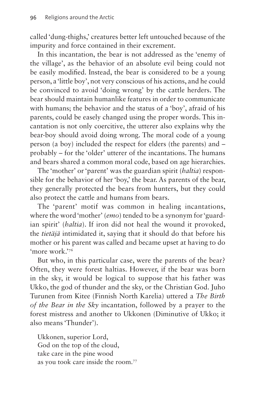called 'dung-thighs,' creatures better left untouched because of the impurity and force contained in their excrement.

In this incantation, the bear is not addressed as the 'enemy of the village', as the behavior of an absolute evil being could not be easily modified. Instead, the bear is considered to be a young person, a 'little boy', not very conscious of his actions, and he could be convinced to avoid 'doing wrong' by the cattle herders. The bear should maintain humanlike features in order to communicate with humans; the behavior and the status of a 'boy', afraid of his parents, could be easely changed using the proper words. This incantation is not only coercitive, the utterer also explains why the bear-boy should avoid doing wrong. The moral code of a young person (a boy) included the respect for elders (the parents) and – probably – for the 'older' utterer of the incantations. The humans and bears shared a common moral code, based on age hierarchies.

The 'mother' or 'parent' was the guardian spirit (*haltia*) responsible for the behavior of her 'boy,' the bear. As parents of the bear, they generally protected the bears from hunters, but they could also protect the cattle and humans from bears.

The 'parent' motif was common in healing incantations, where the word 'mother' (*emo*) tended to be a synonym for 'guardian spirit' (*haltia*). If iron did not heal the wound it provoked, the *tietäjä* intimidated it, saying that it should do that before his mother or his parent was called and became upset at having to do 'more work.'[76](#page-28-2)

But who, in this particular case, were the parents of the bear? Often, they were forest haltias. However, if the bear was born in the sky, it would be logical to suppose that his father was Ukko, the god of thunder and the sky, or the Christian God. Juho Turunen from Kitee (Finnish North Karelia) uttered a *The Birth of the Bear in the Sky* incantation, followed by a prayer to the forest mistress and another to Ukkonen (Diminutive of Ukko; it also means 'Thunder').

Ukkonen, superior Lord, God on the top of the cloud, take care in the pine wood as you took care inside the room.[77](#page-28-3)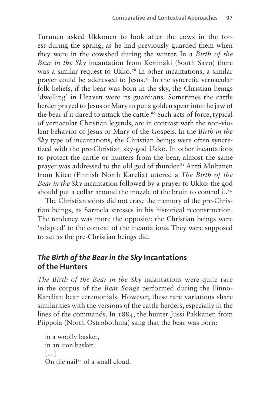Turunen asked Ukkonen to look after the cows in the forest during the spring, as he had previously guarded them when they were in the cowshed during the winter. In a *Birth of the Bear in the Sky* incantation from Kerimäki (South Savo) there was a similar request to Ukko.[78](#page-28-4) In other incantations, a similar prayer could be addressed to Jesus[.79](#page-28-5) In the syncretic vernacular folk beliefs, if the bear was born in the sky, the Christian beings 'dwelling' in Heaven were its guardians. Sometimes the cattle herder prayed to Jesus or Mary to put a golden spear into the jaw of the bear if it dared to attack the cattle.<sup>80</sup> Such acts of force, typical of vernacular Christian legends, are in contrast with the non-violent behavior of Jesus or Mary of the Gospels. In the *Birth in the Sky* type of incantations, the Christian beings were often syncretized with the pre-Christian sky-god Ukko. In other incantations to protect the cattle or hunters from the bear, almost the same prayer was addressed to the old god of thunder.<sup>81</sup> Antti Multanen from Kitee (Finnish North Karelia) uttered a *The Birth of the Bear in the Sky* incantation followed by a prayer to Ukko: the god should put a collar around the muzzle of the bruin to control it. $82$ 

The Christian saints did not erase the memory of the pre-Christian beings, as Sarmela stresses in his historical reconstruction. The tendency was more the opposite: the Christian beings were 'adapted' to the context of the incantations. They were supposed to act as the pre-Christian beings did.

#### *The Birth of the Bear in the Sky* **Incantations of the Hunters**

*The Birth of the Bear in the Sky* incantations were quite rare in the corpus of the *Bear Songs* performed during the Finno-Karelian bear ceremonials. However, these rare variations share similarities with the versions of the cattle herders, especially in the lines of the commands. In 1884, the hunter Jussi Pakkanen from Piippola (North Ostrobothnia) sang that the bear was born:

in a woolly basket, in an iron basket. […] On the nail[83](#page-28-9) of a small cloud.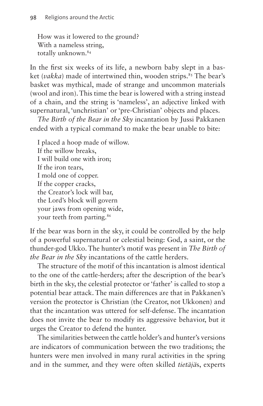How was it lowered to the ground? With a nameless string, totally unknown.<sup>84</sup>

In the first six weeks of its life, a newborn baby slept in a basket (*vakka*) made of intertwined thin, wooden strips.<sup>85</sup> The bear's basket was mythical, made of strange and uncommon materials (wool and iron). This time the bear is lowered with a string instead of a chain, and the string is 'nameless', an adjective linked with supernatural, 'unchristian' or 'pre-Christian' objects and places.

*The Birth of the Bear in the Sky* incantation by Jussi Pakkanen ended with a typical command to make the bear unable to bite:

I placed a hoop made of willow. If the willow breaks, I will build one with iron; If the iron tears, I mold one of copper. If the copper cracks, the Creator's lock will bar, the Lord's block will govern your jaws from opening wide, your teeth from parting.<sup>86</sup>

If the bear was born in the sky, it could be controlled by the help of a powerful supernatural or celestial being: God, a saint, or the thunder-god Ukko. The hunter's motif was present in *The Birth of the Bear in the Sky* incantations of the cattle herders.

The structure of the motif of this incantation is almost identical to the one of the cattle-herders; after the description of the bear's birth in the sky, the celestial protector or 'father' is called to stop a potential bear attack. The main differences are that in Pakkanen's version the protector is Christian (the Creator, not Ukkonen) and that the incantation was uttered for self-defense. The incantation does not invite the bear to modify its aggressive behavior, but it urges the Creator to defend the hunter.

The similarities between the cattle holder's and hunter's versions are indicators of communication between the two traditions; the hunters were men involved in many rural activities in the spring and in the summer, and they were often skilled *tietäjä*s, experts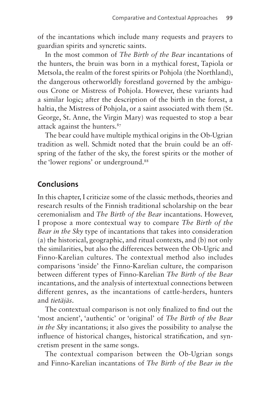of the incantations which include many requests and prayers to guardian spirits and syncretic saints.

In the most common of *The Birth of the Bear* incantations of the hunters, the bruin was born in a mythical forest, Tapiola or Metsola, the realm of the forest spirits or Pohjola (the Northland), the dangerous otherworldly forestland governed by the ambiguous Crone or Mistress of Pohjola. However, these variants had a similar logic; after the description of the birth in the forest, a haltia, the Mistress of Pohjola, or a saint associated with them (St. George, St. Anne, the Virgin Mary) was requested to stop a bear attack against the hunters.<sup>87</sup>

The bear could have multiple mythical origins in the Ob-Ugrian tradition as well. Schmidt noted that the bruin could be an offspring of the father of the sky, the forest spirits or the mother of the 'lower regions' or underground.<sup>[88](#page-28-14)</sup>

### **Conclusions**

In this chapter, I criticize some of the classic methods, theories and research results of the Finnish traditional scholarship on the bear ceremonialism and *The Birth of the Bear* incantations. However, I propose a more contextual way to compare *The Birth of the Bear in the Sky* type of incantations that takes into consideration (a) the historical, geographic, and ritual contexts, and (b) not only the similarities, but also the differences between the Ob-Ugric and Finno-Karelian cultures. The contextual method also includes comparisons 'inside' the Finno-Karelian culture, the comparison between different types of Finno-Karelian *The Birth of the Bear*  incantations, and the analysis of intertextual connections between different genres, as the incantations of cattle-herders, hunters and *tietäjäs*.

The contextual comparison is not only finalized to find out the 'most ancient', 'authentic' or 'original' of *The Birth of the Bear in the Sky* incantations; it also gives the possibility to analyse the influence of historical changes, historical stratification, and syncretism present in the same songs.

The contextual comparison between the Ob-Ugrian songs and Finno-Karelian incantations of *The Birth of the Bear in the*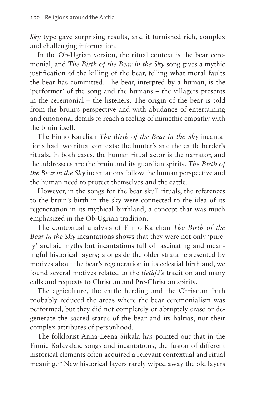*Sky* type gave surprising results, and it furnished rich, complex and challenging information.

In the Ob-Ugrian version, the ritual context is the bear ceremonial, and *The Birth of the Bear in the Sky* song gives a mythic justification of the killing of the bear, telling what moral faults the bear has committed. The bear, interpted by a human, is the 'performer' of the song and the humans – the villagers presents in the ceremonial – the listeners. The origin of the bear is told from the bruin's perspective and with abudance of entertaining and emotional details to reach a feeling of mimethic empathy with the bruin itself.

The Finno-Karelian *The Birth of the Bear in the Sky* incantations had two ritual contexts: the hunter's and the cattle herder's rituals. In both cases, the human ritual actor is the narrator, and the addressees are the bruin and its guardian spirits. *The Birth of the Bear in the Sky* incantations follow the human perspective and the human need to protect themselves and the cattle.

However, in the songs for the bear skull rituals, the references to the bruin's birth in the sky were connected to the idea of its regeneration in its mythical birthland, a concept that was much emphasized in the Ob-Ugrian tradition.

The contextual analysis of Finno-Karelian *The Birth of the Bear in the Sky* incantations shows that they were not only 'purely' archaic myths but incantations full of fascinating and meaningful historical layers; alongside the older strata represented by motives about the bear's regeneration in its celestial birthland, we found several motives related to the *tietäjä's* tradition and many calls and requests to Christian and Pre-Christian spirits.

The agriculture, the cattle herding and the Christian faith probably reduced the areas where the bear ceremonialism was performed, but they did not completely or abruptely erase or degenerate the sacred status of the bear and its haltias, nor their complex attributes of personhood.

The folklorist Anna-Leena Siikala has pointed out that in the Finnic Kalavalaic songs and incantations, the fusion of different historical elements often acquired a relevant contextual and ritual meaning.[89](#page-28-15) New historical layers rarely wiped away the old layers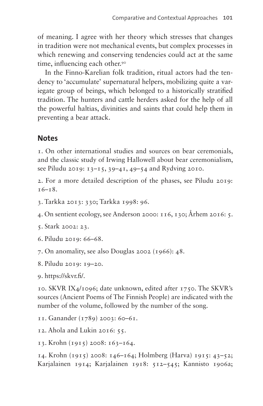of meaning. I agree with her theory which stresses that changes in tradition were not mechanical events, but complex processes in which renewing and conserving tendencies could act at the same time, influencing each other.<sup>90</sup>

In the Finno-Karelian folk tradition, ritual actors had the tendency to 'accumulate' supernatural helpers, mobilizing quite a variegate group of beings, which belonged to a historically stratified tradition. The hunters and cattle herders asked for the help of all the powerful haltias, divinities and saints that could help them in preventing a bear attack.

## **Notes**

<span id="page-24-0"></span>1. On other international studies and sources on bear ceremonials, and the classic study of Irwing Hallowell about bear ceremonialism, see Piludu 2019: 13–15, 39–41, 49–54 and Rydving 2010.

<span id="page-24-1"></span>2. For a more detailed description of the phases, see Piludu 2019: 16–18.

<span id="page-24-2"></span>3. Tarkka 2013: 330; Tarkka 1998: 96.

<span id="page-24-3"></span>4. On sentient ecology, see Anderson 2000: 116, 130; Århem 2016: 5.

<span id="page-24-4"></span>5. Stark 2002: 23.

<span id="page-24-5"></span>6. Piludu 2019: 66–68.

<span id="page-24-6"></span>7. On anomality, see also Douglas 2002 (1966): 48.

<span id="page-24-7"></span>8. Piludu 2019: 19–20.

<span id="page-24-8"></span>9. [https://skvr.fi/.](https://skvr.fi/)

<span id="page-24-9"></span>10. SKVR IX4/1096; date unknown, edited after 1750. The SKVR's sources (Ancient Poems of The Finnish People) are indicated with the number of the volume, followed by the number of the song.

<span id="page-24-10"></span>11. Ganander (1789) 2003: 60–61.

<span id="page-24-11"></span>12. Ahola and Lukin 2016: 55.

<span id="page-24-12"></span>13. Krohn (1915) 2008: 163–164.

<span id="page-24-13"></span>14. Krohn (1915) 2008: 146–164; Holmberg (Harva) 1915: 43–52; Karjalainen 1914; Karjalainen 1918: 512–545; Kannisto 1906a;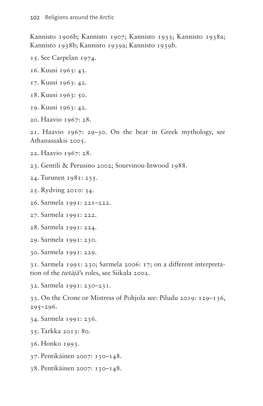Kannisto 1906b; Kannisto 1907; Kannisto 1933; Kannisto 1938a; Kannisto 1938b; Kannisto 1939a; Kannisto 1939b.

- <span id="page-25-0"></span>15. See Carpelan 1974.
- <span id="page-25-1"></span>16. Kuusi 1963: 43.
- <span id="page-25-2"></span>17. Kuusi 1963: 42.
- <span id="page-25-3"></span>18. Kuusi 1963: 50.
- <span id="page-25-4"></span>19. Kuusi 1963: 42.
- <span id="page-25-5"></span>20. Haavio 1967: 28.

<span id="page-25-6"></span>21. Haavio 1967: 29–30. On the bear in Greek mythology, see Athanassakis 2005.

- <span id="page-25-7"></span>22. Haavio 1967: 28.
- <span id="page-25-8"></span>23. Gentili & Perusino 2002; Sourvinou-Inwood 1988.
- <span id="page-25-9"></span>24. Turunen 1981: 235.
- <span id="page-25-10"></span>25. Rydving 2010: 34.
- <span id="page-25-11"></span>26. Sarmela 1991: 221–222.
- <span id="page-25-12"></span>27. Sarmela 1991: 222.
- <span id="page-25-13"></span>28. Sarmela 1991: 224.
- <span id="page-25-14"></span>29. Sarmela 1991: 230.
- <span id="page-25-15"></span>30. Sarmela 1991: 229.

<span id="page-25-16"></span>31. Sarmela 1991: 230; Sarmela 2006: 17; on a different interpretation of the *tietäjä*'s roles, see Siikala 2002.

<span id="page-25-17"></span>32. Sarmela 1991: 230–231.

<span id="page-25-18"></span>33. On the Crone or Mistress of Pohjola see: Piludu 2019: 129–136,  $295 - 296.$ 

- <span id="page-25-19"></span>34. Sarmela 1991: 236.
- <span id="page-25-20"></span>35. Tarkka 2013: 80.
- <span id="page-25-21"></span>36. Honko 1993.
- <span id="page-25-22"></span>37. Pentikäinen 2007: 130–148.
- <span id="page-25-23"></span>38. Pentikäinen 2007: 130–148.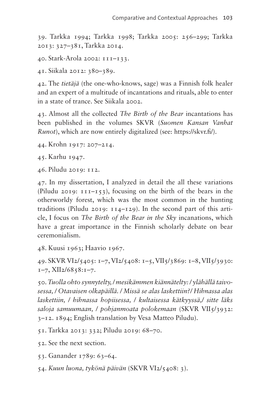<span id="page-26-0"></span>39. Tarkka 1994; Tarkka 1998; Tarkka 2005: 256–299; Tarkka 2013: 327–381, Tarkka 2014.

<span id="page-26-1"></span>40. Stark-Arola 2002: 111–133.

<span id="page-26-2"></span>41. Siikala 2012: 380–389.

<span id="page-26-3"></span>42. The *tietäjä* (the one-who-knows, sage) was a Finnish folk healer and an expert of a multitude of incantations and rituals, able to enter in a state of trance. See Siikala 2002.

<span id="page-26-4"></span>43. Almost all the collected *The Birth of the Bear* incantations has been published in the volumes SKVR (*Suomen Kansan Vanhat Runot*), which are now entirely digitalized (see:<https://skvr.fi/>).

<span id="page-26-5"></span>44. Krohn 1917: 207–214.

<span id="page-26-6"></span>45. Karhu 1947.

<span id="page-26-7"></span>46. Piludu 2019: 112.

<span id="page-26-8"></span>47. In my dissertation, I analyzed in detail the all these variations (Piludu 2019: 111–153), focusing on the birth of the bears in the otherworldy forest, which was the most common in the hunting traditions (Piludu 2019:  $114-129$ ). In the second part of this article, I focus on *The Birth of the Bear in the Sky* incanations, which have a great importance in the Finnish scholarly debate on bear ceremonialism.

<span id="page-26-9"></span>48. Kuusi 1963; Haavio 1967.

<span id="page-26-10"></span>49. SKVR VI2/5405: 1–7, VI2/5408: 1–5, VII5/3869: 1–8, VII5/3930:  $1-7$ , XII $2/68$ 58:1-7.

<span id="page-26-11"></span>50. *Tuolla ohto synnytelty, / mesikämmen kiännätelty: / ylähällä taivosessa, / Otavaisen olkapäillä. / Missä se alas laskettiin?/ Hihnassa alas laskettiin, / hihnassa hopiisessa, / kultaisessa kätkyyssä,/ sitte läks saloja samuumaan, / pohjanmoata polokemaan* (SKVR VII5/3932: 3–12. 1894; English translation by Vesa Matteo Piludu).

<span id="page-26-12"></span>51. Tarkka 2013: 332; Piludu 2019: 68–70.

<span id="page-26-13"></span>52. See the next section.

<span id="page-26-14"></span>53. Ganander 1789: 63–64.

<span id="page-26-15"></span>54. *Kuun luona, tykönä päivän* (SKVR VI2/5408: 3).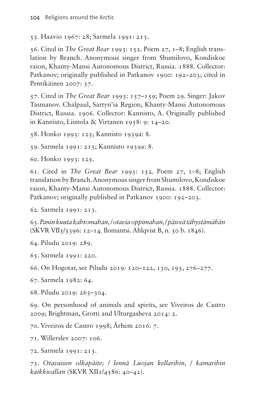<span id="page-27-0"></span>55. Haavio 1967: 28; Sarmela 1991: 213.

<span id="page-27-1"></span>56. Cited in *The Great Bear* 1993: 152. Poem 27, 1–8; English translation by Branch. Anonymous singer from Shumilovo, Kondiskoe raion, Khanty-Mansi Autonomous District, Russia. 1888. Collector: Patkanov; originally published in Patkanov 1900: 192-203; cited in Pentikäinen 2007: 37.

<span id="page-27-2"></span>57. Cited in *The Great Bear* 1993: 157–159; Poem 29. Singer: Jakov Tasmanov. Chalpaul, Sartyn'ia Region, Khanty-Mansi Autonomous District, Russia. 1906. Collector: Kannisto, A. Originally published in Kannisto, Liimola & Virtanen 1958: 9: 14–20.

<span id="page-27-3"></span>58. Honko 1993: 125; Kannisto 1939a: 8.

<span id="page-27-4"></span>59. Sarmela 1991: 213; Kannisto 1939a: 8.

<span id="page-27-5"></span>60. Honko 1993: 125.

<span id="page-27-6"></span>61. Cited in *The Great Bear* 1993: 152. Poem 27, 1–8; English translation by Branch. Anonymous singer from Shumilovo, Kondiskoe raion, Khanty-Mansi Autonomous District, Russia. 1888. Collector: Patkanov; originally published in Patkanov 1900: 192-203.

<span id="page-27-7"></span>62. Sarmela 1991: 213.

<span id="page-27-8"></span>63. *Panin kuuta kahtomahan, / otavia oppimahan, / päiveä tähystämähän* (SKVR VII5/3396: 12–14. Ilomantsi. Ahlqvist B, n. 50 b. 1846).

<span id="page-27-9"></span>64. Piludu 2019: 289.

<span id="page-27-10"></span>65. Sarmela 1991: 220.

<span id="page-27-11"></span>66. On Hogotar, see Piludu 2019: 120–122, 130, 195, 276–277.

<span id="page-27-12"></span>67. Sarmela 1982: 64.

<span id="page-27-13"></span>68. Piludu 2019: 265–304.

<span id="page-27-14"></span>69. On personhood of animals and spirits, see Viveiros de Castro 2009; Brightman, Grotti and Ulturgasheva 2014: 2.

<span id="page-27-15"></span>70. Viveiros de Castro 1998; Århem 2016: 7.

<span id="page-27-16"></span>71. Willerslev 2007: 106.

<span id="page-27-17"></span>72. Sarmela 1991: 213.

<span id="page-27-18"></span>73. *Otavaisen olkapäite; / lennä Luojan kellarihin, / kamarihin kaikkivallan* (SKVR XII1/4586: 40–42).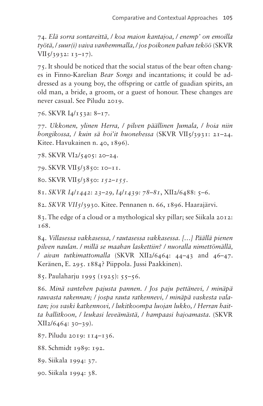<span id="page-28-0"></span>74. *Elä sorra sontareittä, / koa maion kantajoa, / enemp' on emoilla työtä, / suur(i) vaiva vanhemmalla, / jos poikonen pahan teköö* (SKVR  $VII$ 5/3932: 13–17).

<span id="page-28-1"></span>75. It should be noticed that the social status of the bear often changes in Finno-Karelian *Bear Songs* and incantations; it could be addressed as a young boy, the offspring or cattle of guadian spirits, an old man, a bride, a groom, or a guest of honour. These changes are never casual. See Piludu 2019.

<span id="page-28-2"></span>76. SKVR I4/153a: 8–17.

<span id="page-28-3"></span>77. *Ukkonen, ylinen Herra, / pilven päällinen Jumala, / hoia niin hongikossa, / kuin sä hoi'it huonehessa* (SKVR VII5/3931: 21–24. Kitee. Havukainen n. 40, 1896).

<span id="page-28-4"></span>78. SKVR VI2/5405: 20–24.

<span id="page-28-5"></span>79. SKVR VII5/3850: 10–11.

<span id="page-28-6"></span>80. SKVR VII5/3850: *152–155*.

<span id="page-28-7"></span>81. *SKVR I4*/*1442*: *23–29, I4*/*1439: 78–81*, XII2/6488: 5–6.

<span id="page-28-8"></span>82. *SKVR VII5*/3930. Kitee. Pennanen n. 66, 1896. Haarajärvi.

<span id="page-28-9"></span>83. The edge of a cloud or a mythological sky pillar; see Siikala 2012: 168.

<span id="page-28-10"></span>84. *Villasessa vakkasessa, / rautasessa vakkasessa. […] Päällä pienen pilven naulan. / millä se maahan laskettiin? / nuoralla nimettömällä, / aivan tutkimattomalla* (SKVR XII2/6464: 44–43 and 46–47. Keränen, E. 295. 1884? Piippola. Jussi Paakkinen).

<span id="page-28-11"></span>85. Paulaharju 1995 (1925): 55–56.

<span id="page-28-12"></span>86. *Minä vantehen pajusta pannen. / Jos paju pettänevi, / minäpä rauvasta rakennan; / jospa rauta ratkennevi, / minäpä vaskesta valatan; jos vaski katkennovi, / lukitkoompa luojan lukko, / Herran haitta hallitkoon, / leukasi leveämästä, / hampaasi hajoamasta*. (SKVR XII2/6464: 30–39).

<span id="page-28-13"></span>87. Piludu 2019: 114–136.

<span id="page-28-14"></span>88. Schmidt 1989: 192.

<span id="page-28-15"></span>89. Siikala 1994: 37.

<span id="page-28-16"></span>90. Siikala 1994: 38.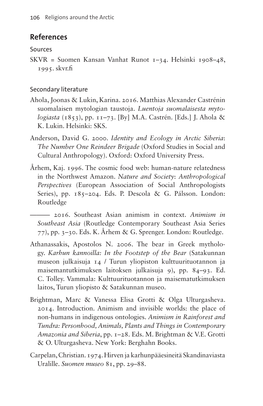## **References**

#### Sources

SKVR = Suomen Kansan Vanhat Runot 1–34. Helsinki 1908–48, 1995. [skvr.fi](http://skvr.fi)

#### Secondary literature

- Ahola, Joonas & Lukin, Karina. 2016. Matthias Alexander Castrénin suomalaisen mytologian taustoja. *Luentoja suomalaisesta mytologiasta* (1853), pp. 11–73. [By] M.A. Castrén. [Eds.] J. Ahola & K. Lukin. Helsinki: SKS.
- Anderson, David G. 2000. *Identity and Ecology in Arctic Siberia*: *The Number One Reindeer Brigade* (Oxford Studies in Social and Cultural Anthropology). Oxford: Oxford University Press.
- Århem, Kaj. 1996. The cosmic food web: human-nature relatedness in the Northwest Amazon. *Nature and Society*: *Anthropological Perspectives* (European Association of Social Anthropologists Series), pp. 185–204. Eds. P. Descola & G. Pálsson. London: Routledge

——— 2016. Southeast Asian animism in context. *Animism in Southeast Asia* (Routledge Contemporary Southeast Asia Series 77), pp. 3–30. Eds. K. Århem & G. Sprenger. London: Routledge.

- Athanassakis, Apostolos N. 2006. The bear in Greek mythology. *Karhun kannoilla: In the Footstep of the Bear* (Satakunnan museon julkaisuja 14 / Turun yliopiston kulttuurituotannon ja maisemantutkimuksen laitoksen julkaisuja 9), pp. 84–93. Ed. C. Tolley. Vammala: Kulttuurituotannon ja maisematutkimuksen laitos, Turun yliopisto & Satakunnan museo.
- Brightman, Marc & Vanessa Elisa Grotti & Olga Ulturgasheva. 2014. Introduction. Animism and invisible worlds: the place of non-humans in indigenous ontologies. *Animism in Rainforest and Tundra: Personhood, Animals, Plants and Things in Contemporary Amazonia and Siberia*, pp. 1–28. Eds. M. Brightman & V.E. Grotti & O. Ulturgasheva. New York: Berghahn Books.
- Carpelan, Christian. 1974. Hirven ja karhunpääesineitä Skandinaviasta Uralille. *Suomen museo* 81, pp. 29–88.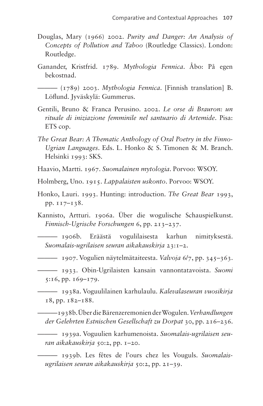- Douglas, Mary (1966) 2002. *Purity and Danger: An Analysis of Concepts of Pollution and Taboo* (Routledge Classics). London: Routledge.
- Ganander, Kristfrid. 1789. *Mythologia Fennica*. Åbo: På egen bekostnad.

——— (1789) 2003. *Mythologia Fennica*. [Finnish translation] B. Löflund. Jyväskylä: Gummerus.

- Gentili, Bruno & Franca Perusino. 2002. *Le orse di Brauron: un rituale di iniziazione femminile nel santuario di Artemide*. Pisa: ETS cop.
- *The Great Bear: A Thematic Anthology of Oral Poetry in the Finno-Ugrian Languages*. Eds. L. Honko & S. Timonen & M. Branch. Helsinki 1993: SKS.
- Haavio, Martti. 1967. *Suomalainen mytologia*. Porvoo: WSOY.
- Holmberg, Uno. 1915. *Lappalaisten uskonto*. Porvoo: WSOY.
- Honko, Lauri. 1993. Hunting: introduction. *The Great Bear* 1993, pp. 117–138.
- Kannisto, Artturi. 1906a. Über die wogulische Schauspielkunst. *Finnisch-Ugrische Forschungen* 6, pp. 213–237.
- ——— 1906b. Eräästä vogulilaisesta karhun nimityksestä. *Suomalais-ugrilaisen seuran aikakauskirja* 23:1–2.
- ——— 1907. Vogulien näytelmätaiteesta. *Valvoja* 6/7, pp. 345–363.
- ——— 1933. Obin-Ugrilaisten kansain vannontatavoista. *Suomi* 5:16, pp. 169–179.
	- ——— 1938a. Voguulilainen karhulaulu. *Kalevalaseuran vuosikirja* 18, pp. 182–188.

———1938b. Über die Bärenzeremonien der Wogulen. *Verhandlungen der Gelehrten Estnischen Gesellschaft zu Dorpat* 30, pp. 216–236.

——— 1939a. Voguulien karhumenoista. *Suomalais-ugrilaisen seuran aikakauskirja* 50:2, pp. 1–20.

——— 1939b. Les fêtes de l'ours chez les Vouguls. *Suomalaisugrilaisen seuran aikakauskirja* 50:2, pp. 21–39.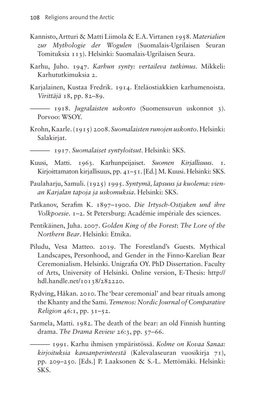- Kannisto, Artturi & Matti Liimola & E.A. Virtanen 1958. *Materialien zur Mythologie der Wogulen* (Suomalais-Ugrilaisen Seuran Tomituksia 113). Helsinki: Suomalais-Ugrilaisen Seura.
- Karhu, Juho. 1947. *Karhun synty: vertaileva tutkimus*. Mikkeli: Karhututkimuksia 2.
- Karjalainen, Kustaa Fredrik. 1914. Eteläostiakkien karhumenoista. *Virittäjä* 18, pp. 82–89.

——— 1918. *Jugralaisten uskonto* (Suomensuvun uskonnot 3). Porvoo: WSOY.

- Krohn, Kaarle. (1915) 2008. *Suomalaisten runojen uskonto*. Helsinki: Salakirjat.
	- ——— 1917. *Suomalaiset syntyloitsut*. Helsinki: SKS.
- Kuusi, Matti. 1963. Karhunpeijaiset. *Suomen Kirjallisuus*. 1. Kirjoittamaton kirjallisuus, pp. 41–51. [Ed.] M. Kuusi. Helsinki: SKS.
- Paulaharju, Samuli. (1925) 1995. *Syntymä, lapsuus ja kuolema: vienan Karjalan tapoja ja uskomuksia*. Helsinki: SKS.
- Patkanov, Serafim K. 1897–1900. *Die Irtysch-Ostjaken und ihre Volkpoesie*. 1–2. St Petersburg: Académie impériale des sciences.
- Pentikäinen, Juha. 2007. *Golden King of the Forest*: *The Lore of the Northern Bear*. Helsinki: Etnika.
- Piludu, Vesa Matteo. 2019. The Forestland's Guests. Mythical Landscapes, Personhood, and Gender in the Finno-Karelian Bear Ceremonialism. Helsinki. Unigrafia OY. PhD Dissertation. Faculty of Arts, University of Helsinki. Online version, E-Thesis: [http://](http://hdl.handle.net/10138/282220) [hdl.handle.net/10138/282220](http://hdl.handle.net/10138/282220).
- Rydving, Håkan. 2010. The 'bear ceremonial' and bear rituals among the Khanty and the Sami. *Temenos: Nordic Journal of Comparative Religion* 46:1, pp. 31–52.
- Sarmela, Matti. 1982. The death of the bear: an old Finnish hunting drama. *The Drama Review* 26:3, pp. 57–66.

——— 1991. Karhu ihmisen ympäristössä. *Kolme on Kovaa Sanaa: kirjoituksia kansanperinteestä* (Kalevalaseuran vuosikirja 71), pp. 209–250. [Eds.] P. Laaksonen & S.-L. Mettömäki. Helsinki: SKS.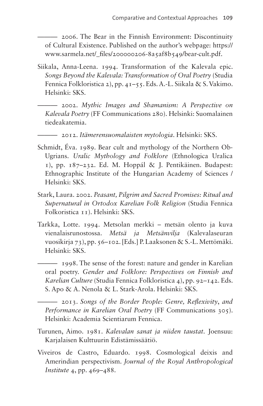——— 2006. The Bear in the Finnish Environment: Discontinuity of Cultural Existence. Published on the author's webpage: [https://](https://www.sarmela.net/_files/200000206-8a5af8b549/bear-cult.pdf) [www.sarmela.net/\\_files/200000206-8a5af8b549/bear-cult.pdf](https://www.sarmela.net/_files/200000206-8a5af8b549/bear-cult.pdf).

- Siikala, Anna-Leena. 1994. Transformation of the Kalevala epic. *Songs Beyond the Kalevala: Transformation of Oral Poetry* (Studia Fennica Folkloristica 2), pp. 41–55. Eds. A.-L. Siikala & S. Vakimo. Helsinki: SKS.
	- ——— 2002. *Mythic Images and Shamanism: A Perspective on Kalevala Poetry* (FF Communications 280). Helsinki: Suomalainen tiedeakatemia.
	- ——— 2012. *Itämerensuomalaisten mytologia*. Helsinki: SKS.
- Schmidt, Éva. 1989. Bear cult and mythology of the Northern Ob-Ugrians. *Uralic Mythology and Folklore* (Ethnologica Uralica 1), pp. 187–232. Ed. M. Hoppál & J. Pentikäinen. Budapest: Ethnographic Institute of the Hungarian Academy of Sciences / Helsinki: SKS.
- Stark, Laura. 2002. *Peasant, Pilgrim and Sacred Promises: Ritual and Supernatural in Ortodox Karelian Folk Religion* (Studia Fennica Folkoristica 11). Helsinki: SKS.
- Tarkka, Lotte. 1994. Metsolan merkki metsän olento ja kuva vienalaisrunostossa. *Metsä ja Metsänvilja* (Kalevalaseuran vuosikirja 73), pp. 56–102. [Eds.] P. Laaksonen & S.-L. Mettömäki. Helsinki: SKS.
	- ——— 1998. The sense of the forest: nature and gender in Karelian oral poetry. *Gender and Folklore: Perspectives on Finnish and Karelian Culture* (Studia Fennica Folkloristica 4), pp. 92–142. Eds. S. Apo & A. Nenola & L. Stark-Arola. Helsinki: SKS.
		- ——— 2013. *Songs of the Border People: Genre, Reflexivity*, *and Performance in Karelian Oral Poetry* (FF Communications 305). Helsinki: Academia Scientiarum Fennica.
- Turunen, Aimo. 1981. *Kalevalan sanat ja niiden taustat*. Joensuu: Karjalaisen Kulttuurin Edistämissäätiö.
- Viveiros de Castro, Eduardo. 1998. Cosmological deixis and Amerindian perspectivism. *Journal of the Royal Anthropological Institute* 4, pp. 469–488.